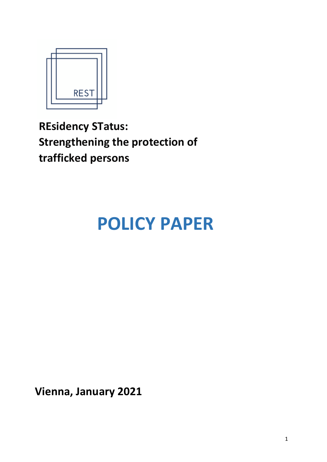

# **REsidency STatus: Strengthening the protection of trafficked persons**

# **POLICY PAPER**

**Vienna, January 2021**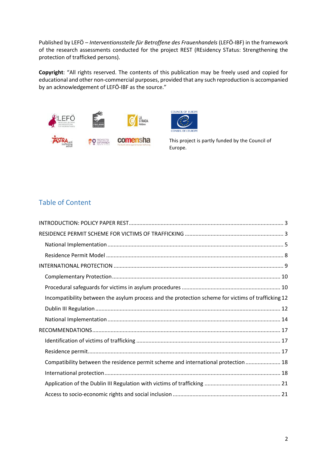Published by LEFÖ – *Interventionsstelle für Betroffene des Frauenhandels* (LEFÖ-IBF) in the framework of the research assessments conducted for the project REST (REsidency STatus: Strengthening the protection of trafficked persons).

**Copyright**: "All rights reserved. The contents of this publication may be freely used and copied for educational and other non-commercial purposes, provided that any such reproduction is accompanied by an acknowledgement of LEFÖ-IBF as the source."





This project is partly funded by the Council of Europe.

# Table of Content

| Incompatibility between the asylum process and the protection scheme for victims of trafficking 12 |
|----------------------------------------------------------------------------------------------------|
|                                                                                                    |
|                                                                                                    |
|                                                                                                    |
|                                                                                                    |
|                                                                                                    |
| Compatibility between the residence permit scheme and international protection  18                 |
|                                                                                                    |
|                                                                                                    |
|                                                                                                    |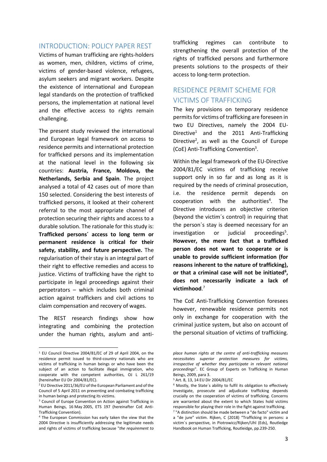#### <span id="page-2-0"></span>INTRODUCTION: POLICY PAPER REST

Victims of human trafficking are rights-holders as women, men, children, victims of crime, victims of gender-based violence, refugees, asylum seekers and migrant workers. Despite the existence of international and European legal standards on the protection of trafficked persons, the implementation at national level and the effective access to rights remain challenging.

The present study reviewed the international and European legal framework on access to residence permits and international protection for trafficked persons and its implementation at the national level in the following six countries: **Austria, France, Moldova, the Netherlands, Serbia and Spain**. The project analysed a total of 42 cases out of more than 150 selected. Considering the best interests of trafficked persons, it looked at their coherent referral to the most appropriate channel of protection securing their rights and access to a durable solution. The rationale for this study is: **Trafficked persons´ access to long term or permanent residence is critical for their safety, stability, and future perspective.** The regularisation of their stay is an integral part of their right to effective remedies and access to justice. Victims of trafficking have the right to participate in legal proceedings against their perpetrators – which includes both criminal action against traffickers and civil actions to claim compensation and recovery of wages.

The REST research findings show how integrating and combining the protection under the human rights, asylum and antitrafficking regimes can contribute to strengthening the overall protection of the rights of trafficked persons and furthermore presents solutions to the prospects of their access to long-term protection.

# <span id="page-2-1"></span>RESIDENCE PERMIT SCHEME FOR VICTIMS OF TRAFFICKING

The key provisions on temporary residence permits for victims of trafficking are foreseen in two EU Directives, namely the 2004 EU-Directive<sup>1</sup> and the 2011 Anti-Trafficking Directive<sup>2</sup>, as well as the Council of Europe (CoE) Anti-Trafficking Convention<sup>3</sup> .

Within the legal framework of the EU-Directive 2004/81/EC victims of trafficking receive support only in so far and as long as it is required by the needs of criminal prosecution, i.e. the residence permit depends on cooperation with the authorities<sup>4</sup>. The Directive introduces an objective criterion (beyond the victim´s control) in requiring that the person´s stay is deemed necessary for an investigation or judicial proceedings<sup>5</sup>. **However, the mere fact that a trafficked person does not want to cooperate or is unable to provide sufficient information (for reasons inherent to the nature of trafficking), or that a criminal case will not be initiated<sup>6</sup> , does not necessarily indicate a lack of victimhood**. 7

The CoE Anti-Trafficking Convention foresees however, renewable residence permits not only in exchange for cooperation with the criminal justice system, but also on account of the personal situation of victims of trafficking.

<sup>1</sup> EU Council Directive 2004/81/EC of 29 of April 2004, on the residence permit issued to third-country nationals who are victims of trafficking in human beings or who have been the subject of an action to facilitate illegal immigration, who cooperate with the competent authorities, OJ L 261/19 (hereinafter EU Dir 2004/81/EC).

<sup>2</sup> EU Directive 2011/36/EU of the European Parliament and of the Council of 5 April 2011 on preventing and combating trafficking in human beings and protecting its victims.

<sup>&</sup>lt;sup>3</sup> Council of Europe Convention on Action against Trafficking in Human Beings, 16 May 2005, ETS 197 (hereinafter CoE Anti-Trafficking Convention).

<sup>4</sup> The European Commission has early taken the view that the 2004 Directive is insufficiently addressing the legitimate needs and rights of victims of trafficking because "*the requirement to* 

*place human rights at the centre of anti-trafficking measures necessitates superior protection measures for victims, irrespective of whether they participate in relevant national proceedings*". EC Group of Experts on Trafficking in Human Beings, 2009, para 3.

<sup>5</sup> Art. 8, 13, 14 EU Dir 2004/81/EC

<sup>6</sup> Mostly, the State´s ability to fulfil its obligation to effectively investigate, prosecute and adjudicate trafficking depends crucially on the cooperation of victims of trafficking. Concerns are warranted about the extent to which States hold victims responsible for playing their role in the fight against trafficking.

<sup>7</sup> "A distinction should be made between a "de facto" victim and a "de jure" victim. Rijken, C (2018) "Trafficking in persons: a victim´s perspective, in Piotrowicz/Rijken/Uhl (Eds), Routledge Handbook on Human Trafficking, Routleidge, pp.239-250.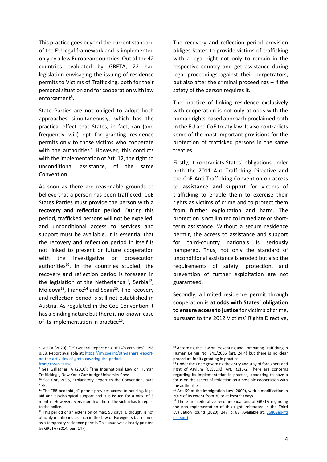This practice goes beyond the current standard of the EU legal framework and is implemented only by a few European countries. Out of the 42 countries evaluated by GRETA, 22 had legislation envisaging the issuing of residence permits to Victims of Trafficking, both for their personal situation and for cooperation with law enforcement<sup>8</sup>.

State Parties are not obliged to adopt both approaches simultaneously, which has the practical effect that States, in fact, can (and frequently will) opt for granting residence permits only to those victims who cooperate with the authorities<sup>9</sup>. However, this conflicts with the implementation of Art. 12, the right to unconditional assistance, of the same Convention.

As soon as there are reasonable grounds to believe that a person has been trafficked, CoE States Parties must provide the person with a **recovery and reflection period**. During this period, trafficked persons will not be expelled, and unconditional access to services and support must be available. It is essential that the recovery and reflection period in itself is not linked to present or future cooperation with the investigative or prosecution authorities<sup>10</sup>. In the countries studied, the recovery and reflection period is foreseen in the legislation of the Netherlands<sup>11</sup>, Serbia<sup>12</sup>, Moldova<sup>13</sup>, France<sup>14</sup> and Spain<sup>15</sup>. The recovery and reflection period is still not established in Austria. As regulated in the CoE Convention it has a binding nature but there is no known case of its implementation in practice<sup>16</sup>.

The recovery and reflection period provision obliges States to provide victims of trafficking with a legal right not only to remain in the respective country and get assistance during legal proceedings against their perpetrators, but also after the criminal proceedings – if the safety of the person requires it.

The practice of linking residence exclusively with cooperation is not only at odds with the human rights-based approach proclaimed both in the EU and CoE treaty law. It also contradicts some of the most important provisions for the protection of trafficked persons in the same treaties.

Firstly, it contradicts States´ obligations under both the 2011 Anti-Trafficking Directive and the CoE Anti-Trafficking Convention on access to **assistance and support** for victims of trafficking to enable them to exercise their rights as victims of crime and to protect them from further exploitation and harm. The protection is not limited to immediate or shortterm assistance. Without a secure residence permit, the access to assistance and support for third-country nationals is seriously hampered. Thus, not only the standard of unconditional assistance is eroded but also the requirements of safety, protection, and prevention of further exploitation are not guaranteed.

Secondly, a limited residence permit through cooperation is **at odds with States´ obligation to ensure access to justice** for victims of crime, pursuant to the 2012 Victims´ Rights Directive,

<sup>8</sup> GRETA (2020): "9th General Report on GRETA´s activities", 158 p.58. Report available at: [https://rm.coe.int/9th-general-report](https://rm.coe.int/9th-general-report-on-the-activities-of-greta-covering-the-period-from/16809e169e)[on-the-activities-of-greta-covering-the-period](https://rm.coe.int/9th-general-report-on-the-activities-of-greta-covering-the-period-from/16809e169e)[from/16809e169e](https://rm.coe.int/9th-general-report-on-the-activities-of-greta-covering-the-period-from/16809e169e)

<sup>&</sup>lt;sup>9</sup> See Gallagher, A (2010): "The International Law on Human Trafficking", New York: Cambridge University Press.

<sup>&</sup>lt;sup>10</sup> See CoE, 2005, Explanatory Report to the Convention, para 175.

 $11$  The "B8 bedenktijd" permit provides access to housing, legal aid and psychological support and it is issued for a max. of 3 months. However, every month of those, the victim has to report to the police.

 $12$  This period of an extension of max. 90 days is, though, is not officialy mentioned as such in the Law of Foreigners but named as a temporary residence permit. This issue was already pointed by GRETA (2014, par. 147).

<sup>&</sup>lt;sup>13</sup> According the Law on Preventing and Combating Trafficking in Human Beings No. 241/2005 (art. 24.4) but there is no clear procedure for its granting in practice.

<sup>&</sup>lt;sup>14</sup> Under the Code governing the entry and stay of foreigners and right of Asylum (CESEDA), Art. R316-2. There are concerns regarding its implementation in practice, appearing to have a focus on the aspect of reflection on a possible cooperation with the authorities.

<sup>&</sup>lt;sup>15</sup> Art. 59 of the Immigration Law (2000), with a modification in 2015 of its extent from 30 to at least 90 days.

<sup>&</sup>lt;sup>16</sup> There are reiterative recommendations of GRETA regarding the non-implementation of this right, reiterated in the Third Evaluation Round (2020), 247, p. 88. Available at: [16809eb4fd](https://rm.coe.int/greta-2020-03-fgr-aut-en/16809eb4fd)  [\(coe.int\)](https://rm.coe.int/greta-2020-03-fgr-aut-en/16809eb4fd)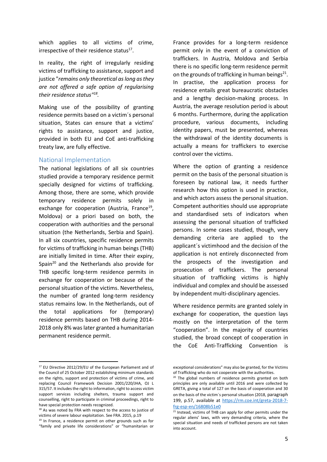which applies to all victims of crime, irrespective of their residence status $^{17}$ .

In reality, the right of irregularly residing victims of trafficking to assistance, support and justice "*remains only theoretical as long as they are not offered a safe option of regularising their residence status"<sup>18</sup> .*

Making use of the possibility of granting residence permits based on a victim´s personal situation, States can ensure that a victims' rights to assistance, support and justice, provided in both EU and CoE anti-trafficking treaty law, are fully effective.

#### <span id="page-4-0"></span>National Implementation

The national legislations of all six countries studied provide a temporary residence permit specially designed for victims of trafficking. Among those, there are some, which provide temporary residence permits solely in exchange for cooperation (Austria, France<sup>19</sup>, Moldova) or a priori based on both, the cooperation with authorities and the personal situation (the Netherlands, Serbia and Spain). In all six countries, specific residence permits for victims of trafficking in human beings (THB) are initially limited in time. After their expiry, Spain<sup>20</sup> and the Netherlands also provide for THB specific long-term residence permits in exchange for cooperation or because of the personal situation of the victims. Nevertheless, the number of granted long-term residency status remains low. In the Netherlands, out of the total applications for (temporary) residence permits based on THB during 2014- 2018 only 8% was later granted a humanitarian permanent residence permit.

France provides for a long-term residence permit only in the event of a conviction of traffickers. In Austria, Moldova and Serbia there is no specific long-term residence permit on the grounds of trafficking in human beings $^{21}$ . In practise, the application process for residence entails great bureaucratic obstacles and a lengthy decision-making process. In Austria, the average resolution period is about 6 months. Furthermore, during the application procedure, various documents, including identity papers, must be presented, whereas the withdrawal of the identity documents is actually a means for traffickers to exercise control over the victims.

Where the option of granting a residence permit on the basis of the personal situation is foreseen by national law, it needs further research how this option is used in practice, and which actors assess the personal situation. Competent authorities should use appropriate and standardised sets of indicators when assessing the personal situation of trafficked persons. In some cases studied, though, very demanding criteria are applied to the applicant´s victimhood and the decision of the application is not entirely disconnected from the prospects of the investigation and prosecution of traffickers. The personal situation of trafficking victims is highly individual and complex and should be assessed by independent multi-disciplinary agencies.

Where residence permits are granted solely in exchange for cooperation, the question lays mostly on the interpretation of the term "cooperation". In the majority of countries studied, the broad concept of cooperation in the CoE Anti-Trafficking Convention is

<sup>&</sup>lt;sup>17</sup> EU Directive 2012/29/EU of the European Parliament and of the Council of 25 October 2012 establishing minimum standards on the rights, support and protection of victims of crime, and replacing Council Framework Decision 2001/220/JHA, OJ L 315/57. It includes the right to information, right to access victim support services including shelters, trauma support and counselling, right to participate in criminal proceedings, right to have special protection needs recognized.

<sup>&</sup>lt;sup>18</sup> As was noted by FRA with respect to the access to justice of victims of severe labour exploitation. See FRA. 2015, p.19

<sup>&</sup>lt;sup>19</sup> In France, a residence permit on other grounds such as for "family and private life considerations" or "humanitarian or

exceptional considerations" may also be granted, for the Victims of Trafficking who do not cooperate with the authorities.

<sup>&</sup>lt;sup>20</sup> The global numbers of residence permits granted on both principles are only available until 2016 and were collected by GRETA, giving a total of 127 on the basis of cooperation and 30 on the basis of the victim´s personal situation (2018, paragraph 199, p.57, available at [https://rm.coe.int/greta-2018-7](https://rm.coe.int/greta-2018-7-frg-esp-en/16808b51e0) [frg-esp-en/16808b51e0](https://rm.coe.int/greta-2018-7-frg-esp-en/16808b51e0)

<sup>&</sup>lt;sup>21</sup> Instead, victims of THB can apply for other permits under the regular aliens' laws, with very demanding criteria, where the special situation and needs of trafficked persons are not taken into account.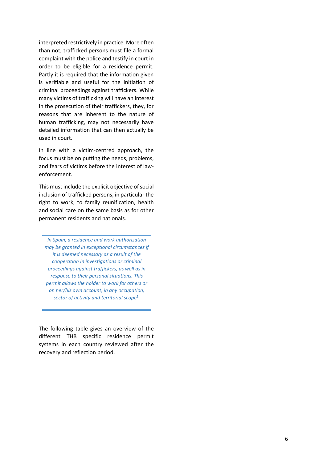interpreted restrictively in practice. More often than not, trafficked persons must file a formal complaint with the police and testify in court in order to be eligible for a residence permit. Partly it is required that the information given is verifiable and useful for the initiation of criminal proceedings against traffickers. While many victims of trafficking will have an interest in the prosecution of their traffickers, they, for reasons that are inherent to the nature of human trafficking, may not necessarily have detailed information that can then actually be used in court.

In line with a victim-centred approach, the focus must be on putting the needs, problems, and fears of victims before the interest of lawenforcement.

This must include the explicit objective of social inclusion of trafficked persons, in particular the right to work, to family reunification, health and social care on the same basis as for other permanent residents and nationals.

*In Spain, a residence and work authorization may be granted in exceptional circumstances if it is deemed necessary as a result of the cooperation in investigations or criminal proceedings against traffickers, as well as in response to their personal situations. This permit allows the holder to work for others or on her/his own account, in any occupation, sector of activity and territorial scope*<sup>1</sup> *.*

The following table gives an overview of the different THB specific residence permit systems in each country reviewed after the recovery and reflection period.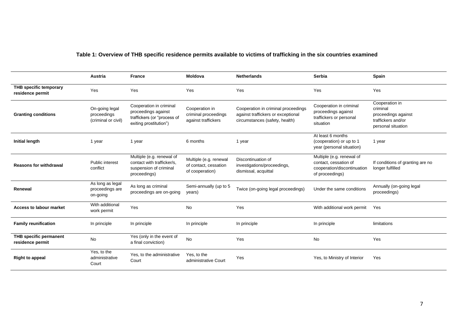### **Table 1: Overview of THB specific residence permits available to victims of trafficking in the six countries examined**

|                                                   | Austria                                              | <b>France</b>                                                                                           | Moldova                                                            | <b>Netherlands</b>                                                                                          | <b>Serbia</b>                                                                                        | Spain                                                                                         |
|---------------------------------------------------|------------------------------------------------------|---------------------------------------------------------------------------------------------------------|--------------------------------------------------------------------|-------------------------------------------------------------------------------------------------------------|------------------------------------------------------------------------------------------------------|-----------------------------------------------------------------------------------------------|
| THB specific temporary<br>residence permit        | Yes                                                  | Yes                                                                                                     | Yes                                                                | Yes                                                                                                         | Yes                                                                                                  | Yes                                                                                           |
| <b>Granting conditions</b>                        | On-going legal<br>proceedings<br>(criminal or civil) | Cooperation in criminal<br>proceedings against<br>traffickers (or "process of<br>exiting prostitution") | Cooperation in<br>criminal proceedings<br>against traffickers      | Cooperation in criminal proceedings<br>against traffickers or exceptional<br>circumstances (safety, health) | Cooperation in criminal<br>proceedings against<br>traffickers or personal<br>situation               | Cooperation in<br>criminal<br>proceedings against<br>traffickers and/or<br>personal situation |
| <b>Initial length</b>                             | 1 year                                               | 1 year                                                                                                  | 6 months                                                           | 1 year                                                                                                      | At least 6 months<br>(cooperation) or up to 1<br>year (personal situation)                           | 1 year                                                                                        |
| <b>Reasons for withdrawal</b>                     | Public interest<br>conflict                          | Multiple (e.g. renewal of<br>contact with trafficker/s.<br>suspension of criminal<br>proceedings)       | Multiple (e.g. renewal<br>of contact, cessation<br>of cooperation) | Discontinuation of<br>investigations/proceedings,<br>dismissal, acquittal                                   | Multiple (e.g. renewal of<br>contact, cessation of<br>cooperation/discontinuation<br>of proceedings) | If conditions of granting are no<br>longer fulfilled                                          |
| Renewal                                           | As long as legal<br>proceedings are<br>on-going      | As long as criminal<br>proceedings are on-going                                                         | Semi-annually (up to 5<br>years)                                   | Twice (on-going legal proceedings)                                                                          | Under the same conditions                                                                            | Annually (on-going legal<br>proceedings)                                                      |
| <b>Access to labour market</b>                    | With additional<br>work permit                       | Yes                                                                                                     | <b>No</b>                                                          | Yes                                                                                                         | With additional work permit                                                                          | Yes                                                                                           |
| <b>Family reunification</b>                       | In principle                                         | In principle                                                                                            | In principle                                                       | In principle                                                                                                | In principle                                                                                         | limitations                                                                                   |
| <b>THB specific permanent</b><br>residence permit | No                                                   | Yes (only in the event of<br>a final conviction)                                                        | No                                                                 | Yes                                                                                                         | No                                                                                                   | Yes                                                                                           |
| <b>Right to appeal</b>                            | Yes, to the<br>administrative<br>Court               | Yes, to the administrative<br>Court                                                                     | Yes, to the<br>administrative Court                                | Yes                                                                                                         | Yes, to Ministry of Interior                                                                         | Yes                                                                                           |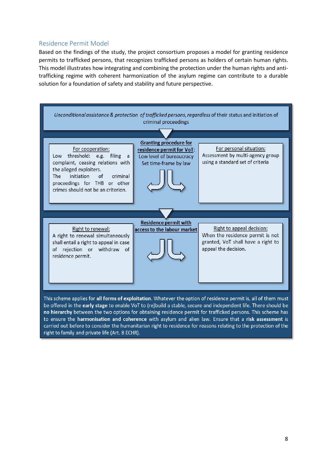#### <span id="page-7-0"></span>Residence Permit Model

Based on the findings of the study, the project consortium proposes a model for granting residence permits to trafficked persons, that recognizes trafficked persons as holders of certain human rights. This model illustrates how integrating and combining the protection under the human rights and antitrafficking regime with coherent harmonization of the asylum regime can contribute to a durable solution for a foundation of safety and stability and future perspective.



be offered in the early stage to enable VoT to (re)build a stable, secure and independent life. There should be no hierarchy between the two options for obtaining residence permit for trafficked persons. This scheme has to ensure the harmonisation and coherence with asylum and alien law. Ensure that a risk assessment is carried out before to consider the humanitarian right to residence for reasons relating to the protection of the right to family and private life (Art. 8 ECHR).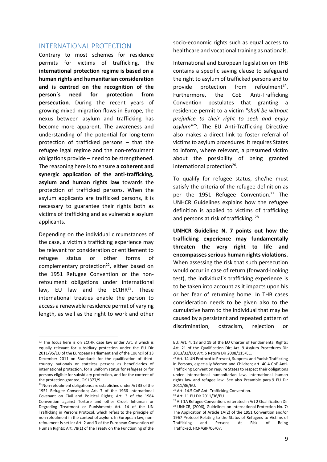#### <span id="page-8-0"></span>INTERNATIONAL PROTECTION

Contrary to most schemes for residence permits for victims of trafficking, the **international protection regime is based on a human rights and humanitarian consideration and is centred on the recognition of the person´s need for protection from persecution**. During the recent years of growing mixed migration flows in Europe, the nexus between asylum and trafficking has become more apparent. The awareness and understanding of the potential for long-term protection of trafficked persons – that the refugee legal regime and the non-refoulment obligations provide – need to be strengthened. The reasoning here is to ensure **a coherent and synergic application of the anti-trafficking, asylum and human rights law** towards the protection of trafficked persons. When the asylum applicants are trafficked persons, it is necessary to guarantee their rights both as victims of trafficking and as vulnerable asylum applicants.

Depending on the individual circumstances of the case, a victim´s trafficking experience may be relevant for consideration or entitlement to refugee status or other forms of complementary protection<sup>22</sup>, either based on the 1951 Refugee Convention or the nonrefoulment obligations under international law, EU law and the ECtHR<sup>23</sup>. These international treaties enable the person to access a renewable residence permit of varying length, as well as the right to work and other socio-economic rights such as equal access to healthcare and vocational training as nationals.

International and European legislation on THB contains a specific saving clause to safeguard the right to asylum of trafficked persons and to provide protection from refoulment $^{24}$ . Furthermore, the CoE Anti-Trafficking Convention postulates that granting a residence permit to a victim "*shall be without prejudice to their right to seek and enjoy asylum"<sup>25</sup> .* The EU Anti-Trafficking Directive also makes a direct link to foster referral of victims to asylum procedures. It requires States to inform, where relevant, a presumed victim about the possibility of being granted international protection<sup>26</sup>.

To qualify for refugee status, she/he must satisfy the criteria of the refugee definition as per the 1951 Refugee Convention.<sup>27</sup> The UNHCR Guidelines explains how the refugee definition is applied to victims of trafficking and persons at risk of trafficking.<sup>28</sup>

**UNHCR Guideline N. 7 points out how the trafficking experience may fundamentally threaten the very right to life and encompasses serious human rights violations.** When assessing the risk that such persecution would occur in case of return (forward-looking test), the individual´s trafficking experience is to be taken into account as it impacts upon his or her fear of returning home. In THB cases consideration needs to be given also to the cumulative harm to the individual that may be caused by a persistent and repeated pattern of discrimination, ostracism, rejection or

<sup>&</sup>lt;sup>22</sup> The focus here is on ECtHR case law under Art. 3 which is equally relevant for subsidiary protection under the EU Dir 2011/95/EU of the European Parliament and of the Council of 13 December 2011 on Standards for the qualification of thirdcountry nationals or stateless persons as beneficiaries of international protection, for a uniform status for refugees or for persons eligible for subsidiary protection, and for the content of the protection granted, OK L377/9.

<sup>&</sup>lt;sup>23</sup> Non-refoulment obligations are established under Art 33 of the 1951 Refugee Convention; Art. 7 of the 1966 International Covenant on Civil and Political Rights; Art. 3 of the 1984 Convention against Torture and other Cruel, Inhuman or Degrading Treatment or Punishment; Art. 14 of the UN Trafficking in Persons Protocol, which refers to the principle of non-refoulment in the context of asylum. In European law, nonrefoulment is set in: Art. 2 and 3 of the European Convention of Human Rights; Art. 78(1) of the Treaty on the Functioning of the

EU; Art. 4, 18 and 19 of the EU Charter of Fundamental Rights; Art. 21 of the Qualification Dir; Art. 9 Asylum Procedures Dir 2013/32/EU; Art. 5 Return Dir 2008/115/EC.

<sup>&</sup>lt;sup>24</sup> Art. 14 UN Protocol to Prevent, Suppress and Punish Trafficking in Persons, especially Women and Children; art. 40.4 CoE Anti-Trafficking Convention require States to respect their obligations under international humanitarian law, international human rights law and refugee law. See also Preamble para.9 EU Dir 2011/36/EU.

<sup>&</sup>lt;sup>25</sup> Art. 14.5 CoE Anti-Trafficking Convention.

<sup>26</sup> Art. 11 EU Dir 2011/36/EU

<sup>&</sup>lt;sup>27</sup> Art 1A Refugee Convention, reiterated in Art 2 Qualification Dir <sup>28</sup> UNHCR, (2006), Guidelines on International Protection No. 7: The Application of Article 1A(2) of the 1951 Convention and/or 1967 Protocol Relating to the Status of Refugees to Victims of<br>Trafficking and Persons At Risk of Being Trafficking and Persons At Risk Trafficked, HCR/GIP/06/07.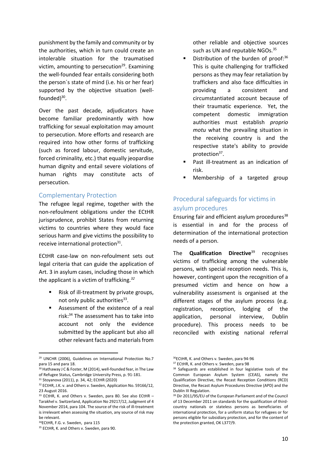punishment by the family and community or by the authorities, which in turn could create an intolerable situation for the traumatised victim, amounting to persecution<sup>29</sup>. Examining the well-founded fear entails considering both the person´s state of mind (i.e. his or her fear) supported by the objective situation (wellfounded)<sup>30</sup>.

Over the past decade, adjudicators have become familiar predominantly with how trafficking for sexual exploitation may amount to persecution. More efforts and research are required into how other forms of trafficking (such as forced labour, domestic servitude, forced criminality, etc.) that equally jeopardise human dignity and entail severe violations of human rights may constitute acts of persecution.

#### <span id="page-9-0"></span>Complementary Protection

The refugee legal regime, together with the non-refoulment obligations under the ECtHR jurisprudence, prohibit States from returning victims to countries where they would face serious harm and give victims the possibility to receive international protection<sup>31</sup>.

ECtHR case-law on non-refoulment sets out legal criteria that can guide the application of Art. 3 in asylum cases, including those in which the applicant is a victim of trafficking.*<sup>32</sup>*

- Risk of ill-treatment by private groups. not only public authorities<sup>33</sup>.
- Assessment of the existence of a real risk: <sup>34</sup> The assessment has to take into account not only the evidence submitted by the applicant but also all other relevant facts and materials from

other reliable and objective sources such as UN and reputable NGOs.<sup>35</sup>

- Distribution of the burden of proof: $36$ This is quite challenging for trafficked persons as they may fear retaliation by traffickers and also face difficulties in providing a consistent and circumstantiated account because of their traumatic experience. Yet, the competent domestic immigration authorities must establish *proprio motu* what the prevailing situation in the receiving country is and the respective state's ability to provide protection<sup>37</sup>.
- Past ill-treatment as an indication of risk.
- Membership of a targeted group

## <span id="page-9-1"></span>Procedural safeguards for victims in asylum procedures

Ensuring fair and efficient asylum procedures<sup>38</sup> is essential in and for the process of determination of the international protection needs of a person.

The **Qualification Directive**<sup>39</sup> recognises victims of trafficking among the vulnerable persons, with special reception needs. This is, however, contingent upon the recognition of a presumed victim and hence on how a vulnerability assessment is organised at the different stages of the asylum process (e.g. registration, reception, lodging of the application, personal interview, Dublin procedure). This process needs to be reconciled with existing national referral

<sup>29</sup> UNCHR (2006), Guidelines on International Protection No.7 para 15 and para 18.

<sup>30</sup> Hathaway J C & Foster, M (2014), well-founded fear, in The Law of Refugee Status, Cambridge University Press, p. 91-181.

<sup>31</sup> Stoyanova (2011), p. 34, 42; ECtHR (2020)

<sup>&</sup>lt;sup>32</sup> ECtHR, J.K. v. and Others v. Sweden, Application No. 59166/12, 23 August 2016.

 $33$  ECtHR, K. and Others v. Sweden, para 80. See also ECtHR  $-$ Tarakhel v. Switzerland, Application No 29217/12, Judgment of 4 November 2014, para 104. The source of the risk of ill-treatment is irrelevant when assessing the situation, any source of risk may be relevant.

<sup>&</sup>lt;sup>34</sup>ECtHR, F.G. v. Sweden, para 115

<sup>35</sup> ECtHR, K. and Others v. Sweden, para 90.

<sup>36</sup>ECtHR, K. and Others v. Sweden, para 94-96

<sup>37</sup> ECtHR, K. and Others v. Sweden, para 98

<sup>&</sup>lt;sup>38</sup> Safeguards are established in four legislative tools of the Common European Asylum System (CEAS), namely the Qualification Directive, the Recast Reception Conditions (RCD) Directive, the Recast Asylum Procedures Directive (APD) and the Dublin III Regulation.

<sup>&</sup>lt;sup>39</sup> Dir 2011/95/EU of the European Parliament and of the Council of 13 December 2011 on standards for the qualification of thirdcountry nationals or stateless persons as beneficiaries of international protection, for a uniform status for refugees or for persons eligible for subsidiary protection, and for the content of the protection granted, OK L377/9.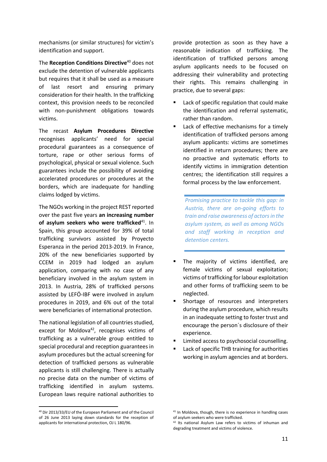mechanisms (or similar structures) for victim's identification and support.

The **Reception Conditions Directive**<sup>40</sup> does not exclude the detention of vulnerable applicants but requires that it shall be used as a measure of last resort and ensuring primary consideration for their health. In the trafficking context, this provision needs to be reconciled with non-punishment obligations towards victims.

The recast **Asylum Procedures Directive** recognises applicants' need for special procedural guarantees as a consequence of torture, rape or other serious forms of psychological, physical or sexual violence. Such guarantees include the possibility of avoiding accelerated procedures or procedures at the borders, which are inadequate for handling claims lodged by victims.

The NGOs working in the project REST reported over the past five years **an increasing number**  of asylum seekers who were trafficked<sup>41</sup>. In Spain, this group accounted for 39% of total trafficking survivors assisted by Proyecto Esperanza in the period 2013-2019. In France, 20% of the new beneficiaries supported by CCEM in 2019 had lodged an asylum application, comparing with no case of any beneficiary involved in the asylum system in 2013. In Austria, 28% of trafficked persons assisted by LEFÖ-IBF were involved in asylum procedures in 2019, and 6% out of the total were beneficiaries of international protection.

The national legislation of all countries studied, except for Moldova $42$ , recognises victims of trafficking as a vulnerable group entitled to special procedural and reception guarantees in asylum procedures but the actual screening for detection of trafficked persons as vulnerable applicants is still challenging. There is actually no precise data on the number of victims of trafficking identified in asylum systems. European laws require national authorities to

<sup>40</sup> Dir 2013/33/EU of the European Parliament and of the Council of 26 June 2013 laying down standards for the reception of applicants for international protection, OJ L 180/96.

provide protection as soon as they have a reasonable indication of trafficking. The identification of trafficked persons among asylum applicants needs to be focused on addressing their vulnerability and protecting their rights. This remains challenging in practice, due to several gaps:

- Lack of specific regulation that could make the identification and referral systematic, rather than random.
- Lack of effective mechanisms for a timely identification of trafficked persons among asylum applicants: victims are sometimes identified in return procedures; there are no proactive and systematic efforts to identify victims in immigration detention centres; the identification still requires a formal process by the law enforcement.

*Promising practice to tackle this gap: in Austria, there are on-going efforts to train and raise awareness of actors in the asylum system, as well as among NGOs and staff working in reception and detention centers.*

- The majority of victims identified, are female victims of sexual exploitation; victims of trafficking for labour exploitation and other forms of trafficking seem to be neglected.
- Shortage of resources and interpreters during the asylum procedure, which results in an inadequate setting to foster trust and encourage the person´s disclosure of their experience.
- Limited access to psychosocial counselling.
- Lack of specific THB training for authorities working in asylum agencies and at borders.

 $41$  In Moldova, though, there is no experience in handling cases of asylum seekers who were trafficked.

<sup>42</sup> Its national Asylum Law refers to victims of inhuman and degrading treatment and victims of violence.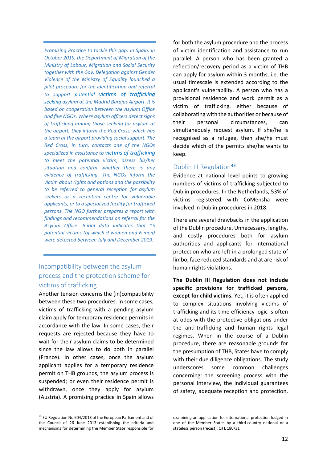*Promising Practice to tackle this gap: In Spain, in October 2019, the Department of Migration of the Ministry of Labour, Migration and Social Security together with the Gov. Delegation against Gender Violence of the Ministry of Equality launched a pilot procedure for the identification and referral to support potential victims of trafficking seeking asylum at the Madrid Barajas Airport. It is based on cooperation between the Asylum Office and five NGOs. Where asylum officers detect signs of trafficking among those seeking for asylum at the airport, they inform the Red Cross, which has a team at the airport providing social support. The Red Cross, in turn, contacts one of the NGOs specialized in assistance to victims of trafficking to meet the potential victim, assess his/her situation and confirm whether there is any evidence of trafficking. The NGOs inform the victim about rights and options and the possibility to be referred to general reception for asylum seekers or a reception centre for vulnerable applicants, or to a specialized facility for trafficked persons. The NGO further prepares a report with findings and recommendations on referral for the Asylum Office. Initial data indicates that 15 potential victims (of which 9 women and 6 men) were detected between July and December 2019.*

# <span id="page-11-0"></span>Incompatibility between the asylum process and the protection scheme for victims of trafficking

Another tension concerns the (in)compatibility between these two procedures. In some cases, victims of trafficking with a pending asylum claim apply for temporary residence permits in accordance with the law. In some cases, their requests are rejected because they have to wait for their asylum claims to be determined since the law allows to do both in parallel (France). In other cases, once the asylum applicant applies for a temporary residence permit on THB grounds, the asylum process is suspended; or even their residence permit is withdrawn, once they apply for asylum (Austria). A promising practice in Spain allows for both the asylum procedure and the process of victim identification and assistance to run parallel. A person who has been granted a reflection/recovery period as a victim of THB can apply for asylum within 3 months, i.e. the usual timescale is extended according to the applicant's vulnerability. A person who has a provisional residence and work permit as a victim of trafficking, either because of collaborating with the authorities or because of their personal circumstances, can simultaneously request asylum. If she/he is recognised as a refugee, then she/he must decide which of the permits she/he wants to keep.

#### <span id="page-11-1"></span>Dublin III Regulation<sup>43</sup>

Evidence at national level points to growing numbers of victims of trafficking subjected to Dublin procedures. In the Netherlands, 53% of victims registered with CoMensha were involved in Dublin procedures in 2018.

There are several drawbacks in the application of the Dublin procedure. Unnecessary, lengthy, and costly procedures both for asylum authorities and applicants for international protection who are left in a prolonged state of limbo, face reduced standards and at are risk of human rights violations.

**The Dublin III Regulation does not include specific provisions for trafficked persons, except for child victims.** Yet, it is often applied to complex situations involving victims of trafficking and its time efficiency logic is often at odds with the protective obligations under the anti-trafficking and human rights legal regimes. When in the course of a Dublin procedure, there are reasonable grounds for the presumption of THB, States have to comply with their due diligence obligations. The study underscores some common challenges concerning: the screening process with the personal interview, the individual guarantees of safety, adequate reception and protection,

<sup>43</sup> EU Regulation No 604/2013 of the European Parliament and of the Council of 26 June 2013 establishing the criteria and mechanisms for determining the Member State responsible for

examining an application for international protection lodged in one of the Member States by a third-country national or a stateless person (recast), OJ L 180/31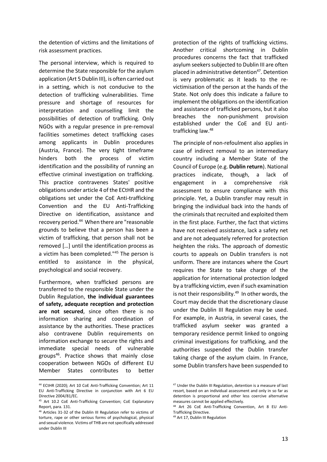the detention of victims and the limitations of risk assessment practices.

The personal interview, which is required to determine the State responsible for the asylum application (Art 5 Dublin III), is often carried out in a setting, which is not conducive to the detection of trafficking vulnerabilities. Time pressure and shortage of resources for interpretation and counselling limit the possibilities of detection of trafficking. Only NGOs with a regular presence in pre-removal facilities sometimes detect trafficking cases among applicants in Dublin procedures (Austria, France). The very tight timeframe hinders both the process of victim identification and the possibility of running an effective criminal investigation on trafficking. This practice contravenes States' positive obligations under article 4 of the ECtHR and the obligations set under the CoE Anti-trafficking Convention and the EU Anti-Trafficking Directive on identification, assistance and recovery period.<sup>44</sup> When there are "reasonable grounds to believe that a person has been a victim of trafficking, that person shall not be removed […] until the identification process as a victim has been completed."<sup>45</sup> The person is entitled to assistance in the physical, psychological and social recovery.

Furthermore, when trafficked persons are transferred to the responsible State under the Dublin Regulation, **the individual guarantees of safety, adequate reception and protection are not secured**, since often there is no information sharing and coordination of assistance by the authorities. These practices also contravene Dublin requirements on information exchange to secure the rights and immediate special needs of vulnerable groups<sup>46</sup> . Practice shows that mainly close cooperation between NGOs of different EU Member States contributes to better

protection of the rights of trafficking victims. Another critical shortcoming in Dublin procedures concerns the fact that trafficked asylum seekers subjected to Dublin III are often placed in administrative detention<sup>47</sup>. Detention is very problematic as it leads to the revictimisation of the person at the hands of the State. Not only does this indicate a failure to implement the obligations on the identification and assistance of trafficked persons, but it also breaches the non-punishment provision established under the CoE and EU antitrafficking law.<sup>48</sup>

The principle of non-refoulment also applies in case of indirect removal to an intermediary country including a Member State of the Council of Europe (e.g. **Dublin return**). National practices indicate, though, a lack of engagement in a comprehensive risk assessment to ensure compliance with this principle. Yet, a Dublin transfer may result in bringing the individual back into the hands of the criminals that recruited and exploited them in the first place. Further, the fact that victims have not received assistance, lack a safety net and are not adequately referred for protection heighten the risks. The approach of domestic courts to appeals on Dublin transfers is not uniform. There are instances where the Court requires the State to take charge of the application for international protection lodged by a trafficking victim, even if such examination is not their responsibility.<sup>49</sup> In other words, the Court may decide that the discretionary clause under the Dublin III Regulation may be used. For example, in Austria, in several cases, the trafficked asylum seeker was granted a temporary residence permit linked to ongoing criminal investigations for trafficking, and the authorities suspended the Dublin transfer taking charge of the asylum claim. In France, some Dublin transfers have been suspended to

<sup>44</sup> ECtHR (2020); Art 10 CoE Anti-Trafficking Convention; Art 11 EU Anti-Trafficking Directive in conjunction with Art 6 EU Directive 2004/81/EC.

<sup>45</sup> Art 10.2 CoE Anti-Trafficking Convention; CoE Explanatory Report, para. 131.

<sup>46</sup> Articles 31-32 of the Dublin III Regulation refer to victims of torture, rape or other serious forms of psychological, physical and sexual violence. Victims of THB are not specifically addressed under Dublin III

<sup>47</sup> Under the Dublin III Regulation, detention is a measure of last resort, based on an individual assessment and only in so far as detention is proportional and other less coercive alternative measures cannot be applied effectively.

<sup>48</sup> Art 26 CoE Anti-Trafficking Convention, Art 8 EU Anti-Trafficking Directive.

<sup>49</sup> Art 17, Dublin III Regulation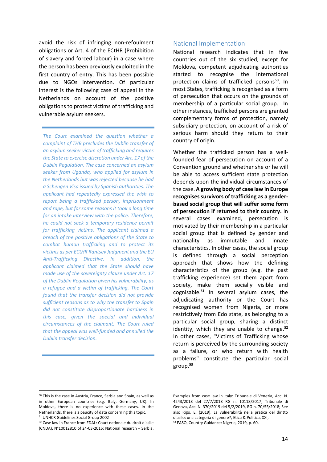avoid the risk of infringing non-refoulment obligations or Art. 4 of the ECtHR (Prohibition of slavery and forced labour) in a case where the person has been previously exploited in the first country of entry. This has been possible due to NGOs intervention. Of particular interest is the following case of appeal in the Netherlands on account of the positive obligations to protect victims of trafficking and vulnerable asylum seekers.

*The Court examined the question whether a complaint of THB precludes the Dublin transfer of an asylum seeker victim of trafficking and requires the State to exercise discretion under Art. 17 of the Dublin Regulation. The case concerned an asylum seeker from Uganda, who applied for asylum in the Netherlands but was rejected because he had a Schengen Visa issued by Spanish authorities. The applicant had repeatedly expressed the wish to report being a trafficked person, imprisonment and rape, but for some reasons it took a long time for an intake interview with the police. Therefore, he could not seek a temporary residence permit for trafficking victims. The applicant claimed a breach of the positive obligations of the State to combat human trafficking and to protect its victims as per ECtHR Rantsev Judgment and the EU Anti-Trafficking Directive. In addition, the applicant claimed that the State should have made use of the sovereignty clause under Art. 17 of the Dublin Regulation given his vulnerability, as a refugee and a victim of trafficking. The Court found that the transfer decision did not provide sufficient reasons as to why the transfer to Spain did not constitute disproportionate hardness in this case, given the special and individual circumstances of the claimant. The Court ruled that the appeal was well-funded and annulled the Dublin transfer decision.*

#### <span id="page-13-0"></span>National Implementation

National research indicates that in five countries out of the six studied, except for Moldova, competent adjudicating authorities started to recognise the international protection claims of trafficked persons<sup>50</sup>. In most States, trafficking is recognised as a form of persecution that occurs on the grounds of membership of a particular social group. In other instances, trafficked persons are granted complementary forms of protection, namely subsidiary protection, on account of a risk of serious harm should they return to their country of origin.

Whether the trafficked person has a wellfounded fear of persecution on account of a Convention ground and whether she or he will be able to access sufficient state protection depends upon the individual circumstances of the case. **A growing body of case law in Europe recognises survivors of trafficking as a genderbased social group that will suffer some form of persecution if returned to their country.** In several cases examined, persecution is motivated by their membership in a particular social group that is defined by gender and nationality as immutable and innate characteristics. In other cases, the social group is defined through a social perception approach that shows how the defining characteristics of the group (e.g. the past trafficking experience) set them apart from society, make them socially visible and cognisable. **<sup>51</sup>** In several asylum cases, the adjudicating authority or the Court has recognised women from Nigeria, or more restrictively from Edo state, as belonging to a particular social group, sharing a distinct identity, which they are unable to change.**<sup>52</sup>** In other cases, "Victims of Trafficking whose return is perceived by the surrounding society as a failure, or who return with health problems" constitute the particular social group.**<sup>53</sup>**

<sup>50</sup> This is the case in Austria, France, Serbia and Spain, as well as in other European countries (e.g. Italy, Germany, UK). In Moldova, there is no experience with these cases. In the Netherlands, there is a paucity of data concerning this topic. <sup>51</sup> UNHCR Guidelines Social Group 2002

<sup>52</sup> Case law in France from EDAL: Court nationale du droit d'asile (CNDA), N°10012810 of 24-03-2015; National research – Serbia.

Examples from case law in Italy: Tribunale di Venezia, Acc. N. 4243/2018 del 27/7/2018 RG n. 10118/2017; Tribunale di Genova, Acc. N. 370/2019 del 5/2/2019, RG n. 70/55/2018; See also Rigo, E, (2019), La vulnerabilità nella pratica del diritto d'asilo: una categoria di genere?, Etica & Politica, XXI,

<sup>53</sup> EASO, Country Guidance: Nigeria, 2019, p. 60.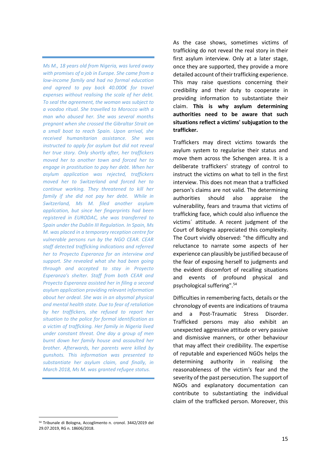*Ms M., 18 years old from Nigeria, was lured away with promises of a job in Europe. She came from a low-income family and had no formal education and agreed to pay back 40.000€ for travel expenses without realising the scale of her debt. To seal the agreement, the woman was subject to a voodoo ritual. She travelled to Morocco with a man who abused her. She was several months pregnant when she crossed the Gibraltar Strait on a small boat to reach Spain. Upon arrival, she received humanitarian assistance. She was instructed to apply for asylum but did not reveal her true story. Only shortly after, her traffickers moved her to another town and forced her to engage in prostitution to pay her debt. When her asylum application was rejected, traffickers moved her to Switzerland and forced her to continue working. They threatened to kill her family if she did not pay her debt. While in Switzerland, Ms M. filed another asylum application, but since her fingerprints had been registered in EURODAC, she was transferred to Spain under the Dublin III Regulation. In Spain, Ms M. was placed in a temporary reception centre for vulnerable persons run by the NGO CEAR. CEAR staff detected trafficking indications and referred her to Proyecto Esperanza for an interview and support. She revealed what she had been going through and accepted to stay in Proyecto Esperanza's shelter. Staff from both CEAR and Proyecto Esperanza assisted her in filing a second asylum application providing relevant information about her ordeal. She was in an abysmal physical and mental health state. Due to fear of retaliation by her traffickers, she refused to report her situation to the police for formal identification as a victim of trafficking. Her family in Nigeria lived under constant threat. One day a group of men burnt down her family house and assaulted her brother. Afterwards, her parents were killed by gunshots. This information was presented to substantiate her asylum claim, and finally, in March 2018, Ms M. was granted refugee status.*

As the case shows, sometimes victims of trafficking do not reveal the real story in their first asylum interview. Only at a later stage, once they are supported, they provide a more detailed account of their trafficking experience. This may raise questions concerning their credibility and their duty to cooperate in providing information to substantiate their claim. **This is why asylum determining authorities need to be aware that such situations reflect a victims' subjugation to the trafficker.**

Traffickers may direct victims towards the asylum system to regularise their status and move them across the Schengen area. It is a deliberate traffickers' strategy of control to instruct the victims on what to tell in the first interview. This does not mean that a trafficked person's claims are not valid. The determining authorities should also appraise the vulnerability, fears and trauma that victims of trafficking face, which could also influence the victims´ attitude. A recent judgment of the Court of Bologna appreciated this complexity. The Court vividly observed: "the difficulty and reluctance to narrate some aspects of her experience can plausibly be justified because of the fear of exposing herself to judgments and the evident discomfort of recalling situations and events of profound physical and psychological suffering".<sup>54</sup>

Difficulties in remembering facts, details or the chronology of events are indications of trauma and a Post-Traumatic Stress Disorder. Trafficked persons may also exhibit an unexpected aggressive attitude or very passive and dismissive manners, or other behaviour that may affect their credibility. The expertise of reputable and experienced NGOs helps the determining authority in realising the reasonableness of the victim's fear and the severity of the past persecution. The support of NGOs and explanatory documentation can contribute to substantiating the individual claim of the trafficked person. Moreover, this

<sup>54</sup> Tribunale di Bologna, Accoglimento n. cronol. 3442/2019 del 29.07.2019, RG n. 18606/2018.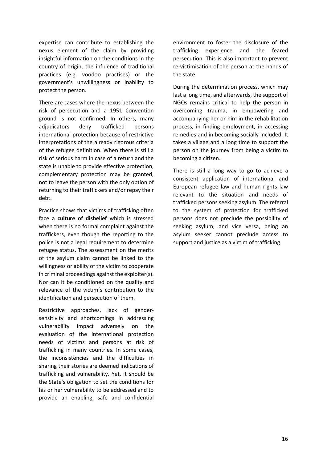expertise can contribute to establishing the nexus element of the claim by providing insightful information on the conditions in the country of origin, the influence of traditional practices (e.g. voodoo practises) or the government's unwillingness or inability to protect the person.

There are cases where the nexus between the risk of persecution and a 1951 Convention ground is not confirmed. In others, many adjudicators deny trafficked persons international protection because of restrictive interpretations of the already rigorous criteria of the refugee definition. When there is still a risk of serious harm in case of a return and the state is unable to provide effective protection, complementary protection may be granted, not to leave the person with the only option of returning to their traffickers and/or repay their debt.

Practice shows that victims of trafficking often face a **culture of disbelief** which is stressed when there is no formal complaint against the traffickers, even though the reporting to the police is not a legal requirement to determine refugee status. The assessment on the merits of the asylum claim cannot be linked to the willingness or ability of the victim to cooperate in criminal proceedings against the exploiter(s). Nor can it be conditioned on the quality and relevance of the victim´s contribution to the identification and persecution of them.

Restrictive approaches, lack of gendersensitivity and shortcomings in addressing vulnerability impact adversely on the evaluation of the international protection needs of victims and persons at risk of trafficking in many countries. In some cases, the inconsistencies and the difficulties in sharing their stories are deemed indications of trafficking and vulnerability. Yet, it should be the State's obligation to set the conditions for his or her vulnerability to be addressed and to provide an enabling, safe and confidential environment to foster the disclosure of the trafficking experience and the feared persecution. This is also important to prevent re-victimisation of the person at the hands of the state.

During the determination process, which may last a long time, and afterwards, the support of NGOs remains critical to help the person in overcoming trauma, in empowering and accompanying her or him in the rehabilitation process, in finding employment, in accessing remedies and in becoming socially included. It takes a village and a long time to support the person on the journey from being a victim to becoming a citizen.

There is still a long way to go to achieve a consistent application of international and European refugee law and human rights law relevant to the situation and needs of trafficked persons seeking asylum. The referral to the system of protection for trafficked persons does not preclude the possibility of seeking asylum, and vice versa, being an asylum seeker cannot preclude access to support and justice as a victim of trafficking.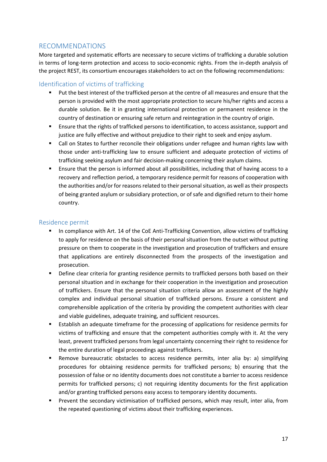# <span id="page-16-0"></span>RECOMMENDATIONS

More targeted and systematic efforts are necessary to secure victims of trafficking a durable solution in terms of long-term protection and access to socio-economic rights. From the in-depth analysis of the project REST, its consortium encourages stakeholders to act on the following recommendations:

# <span id="page-16-1"></span>Identification of victims of trafficking

- Put the best interest of the trafficked person at the centre of all measures and ensure that the person is provided with the most appropriate protection to secure his/her rights and access a durable solution. Be it in granting international protection or permanent residence in the country of destination or ensuring safe return and reintegration in the country of origin.
- Ensure that the rights of trafficked persons to identification, to access assistance, support and justice are fully effective and without prejudice to their right to seek and enjoy asylum.
- Call on States to further reconcile their obligations under refugee and human rights law with those under anti-trafficking law to ensure sufficient and adequate protection of victims of trafficking seeking asylum and fair decision-making concerning their asylum claims.
- Ensure that the person is informed about all possibilities, including that of having access to a recovery and reflection period, a temporary residence permit for reasons of cooperation with the authorities and/or for reasons related to their personal situation, as well as their prospects of being granted asylum or subsidiary protection, or of safe and dignified return to their home country.

#### <span id="page-16-2"></span>Residence permit

- In compliance with Art. 14 of the CoE Anti-Trafficking Convention, allow victims of trafficking to apply for residence on the basis of their personal situation from the outset without putting pressure on them to cooperate in the investigation and prosecution of traffickers and ensure that applications are entirely disconnected from the prospects of the investigation and prosecution.
- **•** Define clear criteria for granting residence permits to trafficked persons both based on their personal situation and in exchange for their cooperation in the investigation and prosecution of traffickers. Ensure that the personal situation criteria allow an assessment of the highly complex and individual personal situation of trafficked persons. Ensure a consistent and comprehensible application of the criteria by providing the competent authorities with clear and viable guidelines, adequate training, and sufficient resources.
- Establish an adequate timeframe for the processing of applications for residence permits for victims of trafficking and ensure that the competent authorities comply with it. At the very least, prevent trafficked persons from legal uncertainty concerning their right to residence for the entire duration of legal proceedings against traffickers.
- Remove bureaucratic obstacles to access residence permits, inter alia by: a) simplifying procedures for obtaining residence permits for trafficked persons; b) ensuring that the possession of false or no identity documents does not constitute a barrier to access residence permits for trafficked persons; c) not requiring identity documents for the first application and/or granting trafficked persons easy access to temporary identity documents.
- Prevent the secondary victimisation of trafficked persons, which may result, inter alia, from the repeated questioning of victims about their trafficking experiences.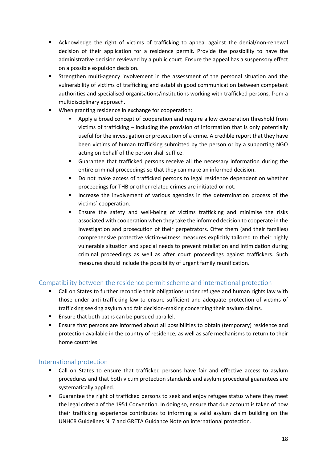- Acknowledge the right of victims of trafficking to appeal against the denial/non-renewal decision of their application for a residence permit. Provide the possibility to have the administrative decision reviewed by a public court. Ensure the appeal has a suspensory effect on a possible expulsion decision.
- Strengthen multi-agency involvement in the assessment of the personal situation and the vulnerability of victims of trafficking and establish good communication between competent authorities and specialised organisations/institutions working with trafficked persons, from a multidisciplinary approach.
- When granting residence in exchange for cooperation:
	- Apply a broad concept of cooperation and require a low cooperation threshold from victims of trafficking – including the provision of information that is only potentially useful for the investigation or prosecution of a crime. A credible report that they have been victims of human trafficking submitted by the person or by a supporting NGO acting on behalf of the person shall suffice.
	- Guarantee that trafficked persons receive all the necessary information during the entire criminal proceedings so that they can make an informed decision.
	- Do not make access of trafficked persons to legal residence dependent on whether proceedings for THB or other related crimes are initiated or not.
	- Increase the involvement of various agencies in the determination process of the victims´ cooperation.
	- Ensure the safety and well-being of victims trafficking and minimise the risks associated with cooperation when they take the informed decision to cooperate in the investigation and prosecution of their perpetrators. Offer them (and their families) comprehensive protective victim-witness measures explicitly tailored to their highly vulnerable situation and special needs to prevent retaliation and intimidation during criminal proceedings as well as after court proceedings against traffickers. Such measures should include the possibility of urgent family reunification.

# <span id="page-17-0"></span>Compatibility between the residence permit scheme and international protection

- Call on States to further reconcile their obligations under refugee and human rights law with those under anti-trafficking law to ensure sufficient and adequate protection of victims of trafficking seeking asylum and fair decision-making concerning their asylum claims.
- Ensure that both paths can be pursued parallel.
- **Ensure that persons are informed about all possibilities to obtain (temporary) residence and** protection available in the country of residence, as well as safe mechanisms to return to their home countries.

# <span id="page-17-1"></span>International protection

- Call on States to ensure that trafficked persons have fair and effective access to asylum procedures and that both victim protection standards and asylum procedural guarantees are systematically applied.
- Guarantee the right of trafficked persons to seek and enjoy refugee status where they meet the legal criteria of the 1951 Convention. In doing so, ensure that due account is taken of how their trafficking experience contributes to informing a valid asylum claim building on the UNHCR Guidelines N. 7 and GRETA Guidance Note on international protection.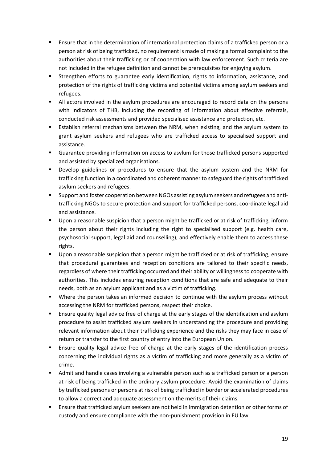- Ensure that in the determination of international protection claims of a trafficked person or a person at risk of being trafficked, no requirement is made of making a formal complaint to the authorities about their trafficking or of cooperation with law enforcement. Such criteria are not included in the refugee definition and cannot be prerequisites for enjoying asylum.
- Strengthen efforts to guarantee early identification, rights to information, assistance, and protection of the rights of trafficking victims and potential victims among asylum seekers and refugees.
- All actors involved in the asylum procedures are encouraged to record data on the persons with indicators of THB, including the recording of information about effective referrals, conducted risk assessments and provided specialised assistance and protection, etc.
- Establish referral mechanisms between the NRM, when existing, and the asylum system to grant asylum seekers and refugees who are trafficked access to specialised support and assistance.
- Guarantee providing information on access to asylum for those trafficked persons supported and assisted by specialized organisations.
- **•** Develop guidelines or procedures to ensure that the asylum system and the NRM for trafficking function in a coordinated and coherent manner to safeguard the rights of trafficked asylum seekers and refugees.
- Support and foster cooperation between NGOs assisting asylum seekers and refugees and antitrafficking NGOs to secure protection and support for trafficked persons, coordinate legal aid and assistance.
- Upon a reasonable suspicion that a person might be trafficked or at risk of trafficking, inform the person about their rights including the right to specialised support (e.g. health care, psychosocial support, legal aid and counselling), and effectively enable them to access these rights.
- Upon a reasonable suspicion that a person might be trafficked or at risk of trafficking, ensure that procedural guarantees and reception conditions are tailored to their specific needs, regardless of where their trafficking occurred and their ability or willingness to cooperate with authorities. This includes ensuring reception conditions that are safe and adequate to their needs, both as an asylum applicant and as a victim of trafficking.
- Where the person takes an informed decision to continue with the asylum process without accessing the NRM for trafficked persons, respect their choice.
- **EXECT ADDETED FIGHTS IS ENSTENT FIGHTS IS A** Ensure at the early stages of the identification and asylum procedure to assist trafficked asylum seekers in understanding the procedure and providing relevant information about their trafficking experience and the risks they may face in case of return or transfer to the first country of entry into the European Union.
- **Example 2** Ensure quality legal advice free of charge at the early stages of the identification process concerning the individual rights as a victim of trafficking and more generally as a victim of crime.
- **■** Admit and handle cases involving a vulnerable person such as a trafficked person or a person at risk of being trafficked in the ordinary asylum procedure. Avoid the examination of claims by trafficked persons or persons at risk of being trafficked in border or accelerated procedures to allow a correct and adequate assessment on the merits of their claims.
- **Ensure that trafficked asylum seekers are not held in immigration detention or other forms of** custody and ensure compliance with the non-punishment provision in EU law.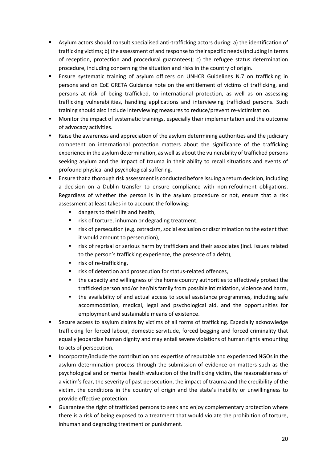- Asylum actors should consult specialised anti-trafficking actors during: a) the identification of trafficking victims; b) the assessment of and response to their specific needs (including in terms of reception, protection and procedural guarantees); c) the refugee status determination procedure, including concerning the situation and risks in the country of origin.
- **E** Ensure systematic training of asylum officers on UNHCR Guidelines N.7 on trafficking in persons and on CoE GRETA Guidance note on the entitlement of victims of trafficking, and persons at risk of being trafficked, to international protection, as well as on assessing trafficking vulnerabilities, handling applications and interviewing trafficked persons. Such training should also include interviewing measures to reduce/prevent re-victimisation.
- Monitor the impact of systematic trainings, especially their implementation and the outcome of advocacy activities.
- Raise the awareness and appreciation of the asylum determining authorities and the judiciary competent on international protection matters about the significance of the trafficking experience in the asylum determination, as well as about the vulnerability of trafficked persons seeking asylum and the impact of trauma in their ability to recall situations and events of profound physical and psychological suffering.
- **E** Ensure that a thorough risk assessment is conducted before issuing a return decision, including a decision on a Dublin transfer to ensure compliance with non-refoulment obligations. Regardless of whether the person is in the asylum procedure or not, ensure that a risk assessment at least takes in to account the following:
	- dangers to their life and health,
	- risk of torture, inhuman or degrading treatment,
	- risk of persecution (e.g. ostracism, social exclusion or discrimination to the extent that it would amount to persecution),
	- risk of reprisal or serious harm by traffickers and their associates (incl. issues related to the person's trafficking experience, the presence of a debt),
	- risk of re-trafficking,
	- risk of detention and prosecution for status-related offences,
	- the capacity and willingness of the home country authorities to effectively protect the trafficked person and/or her/his family from possible intimidation, violence and harm,
	- the availability of and actual access to social assistance programmes, including safe accommodation, medical, legal and psychological aid, and the opportunities for employment and sustainable means of existence.
- **EXECUTE:** Secure access to asylum claims by victims of all forms of trafficking. Especially acknowledge trafficking for forced labour, domestic servitude, forced begging and forced criminality that equally jeopardise human dignity and may entail severe violations of human rights amounting to acts of persecution.
- Incorporate/include the contribution and expertise of reputable and experienced NGOs in the asylum determination process through the submission of evidence on matters such as the psychological and or mental health evaluation of the trafficking victim, the reasonableness of a victim's fear, the severity of past persecution, the impact of trauma and the credibility of the victim, the conditions in the country of origin and the state's inability or unwillingness to provide effective protection.
- Guarantee the right of trafficked persons to seek and enjoy complementary protection where there is a risk of being exposed to a treatment that would violate the prohibition of torture, inhuman and degrading treatment or punishment.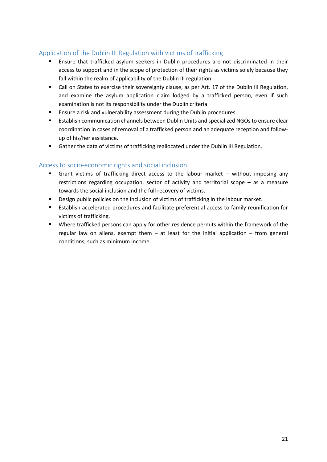# <span id="page-20-0"></span>Application of the Dublin III Regulation with victims of trafficking

- **E** Ensure that trafficked asylum seekers in Dublin procedures are not discriminated in their access to support and in the scope of protection of their rights as victims solely because they fall within the realm of applicability of the Dublin III regulation.
- Call on States to exercise their sovereignty clause, as per Art. 17 of the Dublin III Regulation, and examine the asylum application claim lodged by a trafficked person, even if such examination is not its responsibility under the Dublin criteria.
- Ensure a risk and vulnerability assessment during the Dublin procedures.
- **Establish communication channels between Dublin Units and specialized NGOs to ensure clear** coordination in cases of removal of a trafficked person and an adequate reception and followup of his/her assistance.
- Gather the data of victims of trafficking reallocated under the Dublin III Regulation.

#### <span id="page-20-1"></span>Access to socio-economic rights and social inclusion

- Grant victims of trafficking direct access to the labour market without imposing any restrictions regarding occupation, sector of activity and territorial scope – as a measure towards the social inclusion and the full recovery of victims.
- **•** Design public policies on the inclusion of victims of trafficking in the labour market.
- Establish accelerated procedures and facilitate preferential access to family reunification for victims of trafficking.
- Where trafficked persons can apply for other residence permits within the framework of the regular law on aliens, exempt them  $-$  at least for the initial application  $-$  from general conditions, such as minimum income.